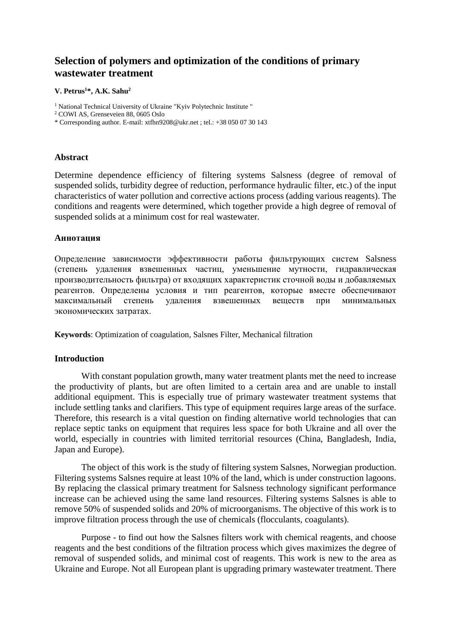# **Selection of polymers and optimization of the conditions of primary wastewater treatment**

#### **V. Petrus1 \*, A.K. Sahu2**

<sup>1</sup> National Technical University of Ukraine "Kyiv Polytechnic Institute "

<sup>2</sup> COWI AS, Grenseveien 88, 0605 Oslo

#### **Abstract**

Determine dependence efficiency of filtering systems Salsness (degree of removal of suspended solids, turbidity degree of reduction, performance hydraulic filter, etc.) of the input characteristics of water pollution and corrective actions process (adding various reagents). The conditions and reagents were determined, which together provide a high degree of removal of suspended solids at a minimum cost for real wastewater.

### **Aннотация**

Определение зависимости эффективности работы фильтрующих систем Salsness (степень удаления взвешенных частиц, уменьшение мутности, гидравлическая производительность фильтра) от входящих характеристик сточной воды и добавляемых реагентов. Определены условия и тип реагентов, которые вместе обеспечивают максимальный степень удаления взвешенных веществ при минимальных экономических затратах.

**Keywords**: Optimization of coagulation, Salsnes Filter, Mechanical filtration

### **Introduction**

With constant population growth, many water treatment plants met the need to increase the productivity of plants, but are often limited to a certain area and are unable to install additional equipment. This is especially true of primary wastewater treatment systems that include settling tanks and clarifiers. This type of equipment requires large areas of the surface. Therefore, this research is a vital question on finding alternative world technologies that can replace septic tanks on equipment that requires less space for both Ukraine and all over the world, especially in countries with limited territorial resources (China, Bangladesh, India, Japan and Europe).

The object of this work is the study of filtering system Salsnes, Norwegian production. Filtering systems Salsnes require at least 10% of the land, which is under construction lagoons. By replacing the classical primary treatment for Salsness technology significant performance increase can be achieved using the same land resources. Filtering systems Salsnes is able to remove 50% of suspended solids and 20% of microorganisms. The objective of this work is to improve filtration process through the use of chemicals (flocculants, coagulants).

Purpose - to find out how the Salsnes filters work with chemical reagents, and choose reagents and the best conditions of the filtration process which gives maximizes the degree of removal of suspended solids, and minimal cost of reagents. This work is new to the area as Ukraine and Europe. Not all European plant is upgrading primary wastewater treatment. There

<sup>\*</sup> Corresponding author. E-mail: xtfhn9208@ukr.net ; tel.: +38 050 07 30 143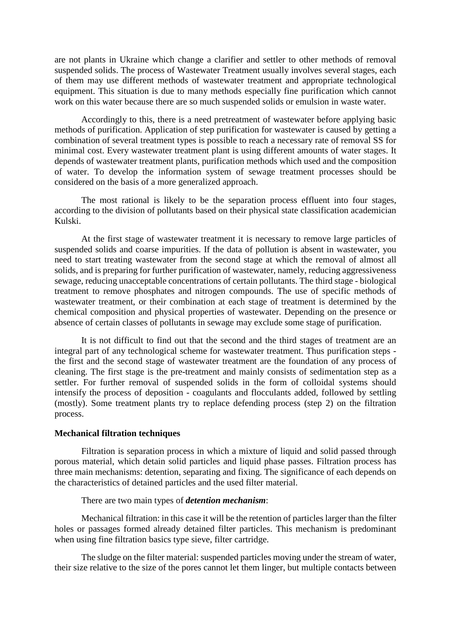are not plants in Ukraine which change a clarifier and settler to other methods of removal suspended solids. The process of Wastewater Treatment usually involves several stages, each of them may use different methods of wastewater treatment and appropriate technological equipment. This situation is due to many methods especially fine purification which cannot work on this water because there are so much suspended solids or emulsion in waste water.

Accordingly to this, there is a need pretreatment of wastewater before applying basic methods of purification. Application of step purification for wastewater is caused by getting a combination of several treatment types is possible to reach a necessary rate of removal SS for minimal cost. Every wastewater treatment plant is using different amounts of water stages. It depends of wastewater treatment plants, purification methods which used and the composition of water. To develop the information system of sewage treatment processes should be considered on the basis of a more generalized approach.

The most rational is likely to be the separation process effluent into four stages, according to the division of pollutants based on their physical state classification academician Kulski.

At the first stage of wastewater treatment it is necessary to remove large particles of suspended solids and coarse impurities. If the data of pollution is absent in wastewater, you need to start treating wastewater from the second stage at which the removal of almost all solids, and is preparing for further purification of wastewater, namely, reducing aggressiveness sewage, reducing unacceptable concentrations of certain pollutants. The third stage - biological treatment to remove phosphates and nitrogen compounds. The use of specific methods of wastewater treatment, or their combination at each stage of treatment is determined by the chemical composition and physical properties of wastewater. Depending on the presence or absence of certain classes of pollutants in sewage may exclude some stage of purification.

It is not difficult to find out that the second and the third stages of treatment are an integral part of any technological scheme for wastewater treatment. Thus purification steps the first and the second stage of wastewater treatment are the foundation of any process of cleaning. The first stage is the pre-treatment and mainly consists of sedimentation step as a settler. For further removal of suspended solids in the form of colloidal systems should intensify the process of deposition - coagulants and flocculants added, followed by settling (mostly). Some treatment plants try to replace defending process (step 2) on the filtration process.

#### **Mechanical filtration techniques**

Filtration is separation process in which a mixture of liquid and solid passed through porous material, which detain solid particles and liquid phase passes. Filtration process has three main mechanisms: detention, separating and fixing. The significance of each depends on the characteristics of detained particles and the used filter material.

There are two main types of *detention mechanism*:

Mechanical filtration: in this case it will be the retention of particles larger than the filter holes or passages formed already detained filter particles. This mechanism is predominant when using fine filtration basics type sieve, filter cartridge.

The sludge on the filter material: suspended particles moving under the stream of water, their size relative to the size of the pores cannot let them linger, but multiple contacts between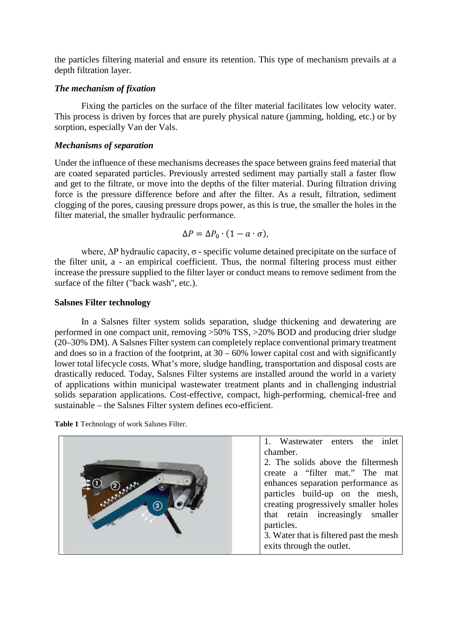the particles filtering material and ensure its retention. This type of mechanism prevails at a depth filtration layer.

### *The mechanism of fixation*

Fixing the particles on the surface of the filter material facilitates low velocity water. This process is driven by forces that are purely physical nature (jamming, holding, etc.) or by sorption, especially Van der Vals.

### *Mechanisms of separation*

Under the influence of these mechanisms decreases the space between grains feed material that are coated separated particles. Previously arrested sediment may partially stall a faster flow and get to the filtrate, or move into the depths of the filter material. During filtration driving force is the pressure difference before and after the filter. As a result, filtration, sediment clogging of the pores, causing pressure drops power, as this is true, the smaller the holes in the filter material, the smaller hydraulic performance.

$$
\Delta P = \Delta P_0 \cdot (1 - a \cdot \sigma),
$$

where,  $\Delta P$  hydraulic capacity,  $\sigma$  - specific volume detained precipitate on the surface of the filter unit, a - an empirical coefficient. Thus, the normal filtering process must either increase the pressure supplied to the filter layer or conduct means to remove sediment from the surface of the filter ("back wash", etc.).

### **Salsnes Filter technology**

In a Salsnes filter system solids separation, sludge thickening and dewatering are performed in one compact unit, removing >50% TSS, >20% BOD and producing drier sludge (20–30% DM). A Salsnes Filter system can completely replace conventional primary treatment and does so in a fraction of the footprint, at  $30 - 60\%$  lower capital cost and with significantly lower total lifecycle costs. What's more, sludge handling, transportation and disposal costs are drastically reduced. Today, Salsnes Filter systems are installed around the world in a variety of applications within municipal wastewater treatment plants and in challenging industrial solids separation applications. Cost-effective, compact, high-performing, chemical-free and sustainable – the Salsnes Filter system defines eco-efficient.

**Table 1** Technology of work Salsnes Filter.

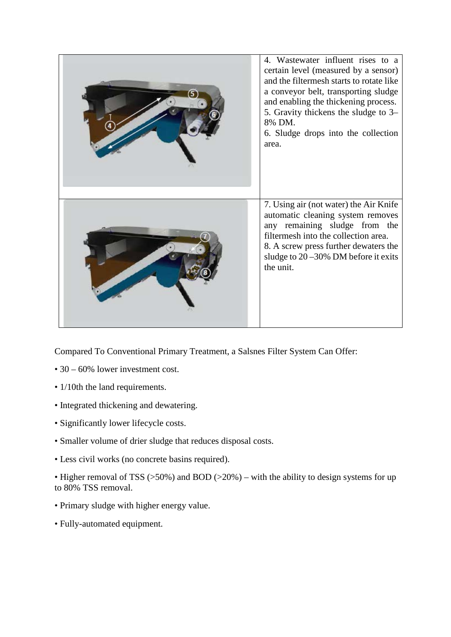

Compared To Conventional Primary Treatment, a Salsnes Filter System Can Offer:

- 30 60% lower investment cost.
- 1/10th the land requirements.
- Integrated thickening and dewatering.
- Significantly lower lifecycle costs.
- Smaller volume of drier sludge that reduces disposal costs.
- Less civil works (no concrete basins required).
- Higher removal of TSS ( $>50\%$ ) and BOD ( $>20\%$ ) with the ability to design systems for up to 80% TSS removal.
- Primary sludge with higher energy value.
- Fully-automated equipment.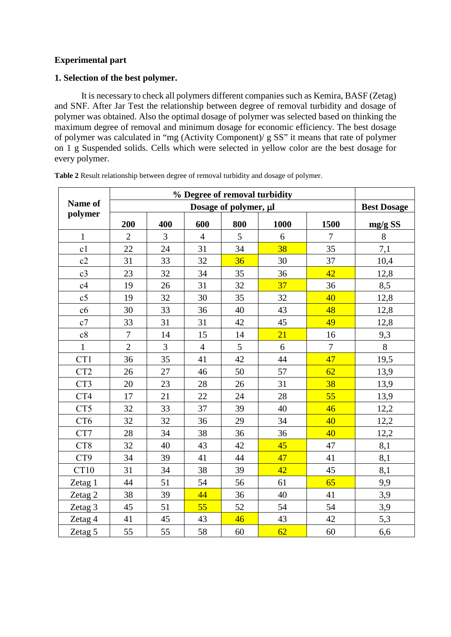# **Experimental part**

# **1. Selection of the best polymer.**

It is necessary to check all polymers different companies such as Kemira, BASF (Zetag) and SNF. After Jar Test the relationship between degree of removal turbidity and dosage of polymer was obtained. Also the optimal dosage of polymer was selected based on thinking the maximum degree of removal and minimum dosage for economic efficiency. The best dosage of polymer was calculated in "mg (Activity Component)/ g SS" it means that rate of polymer on 1 g Suspended solids. Cells which were selected in yellow color are the best dosage for every polymer.

| Name of         |                | Dosage of polymer, µl |                |     |      |                  |         |  |  |  |  |
|-----------------|----------------|-----------------------|----------------|-----|------|------------------|---------|--|--|--|--|
| polymer         | 200            | 400                   | 600            | 800 | 1000 | 1500             | mg/g SS |  |  |  |  |
| $\mathbf{1}$    | $\overline{2}$ | 3                     | $\overline{4}$ | 5   | 6    | 7                | 8       |  |  |  |  |
| c1              | 22             | 24                    | 31             | 34  | 38   | 35               | 7,1     |  |  |  |  |
| c2              | 31             | 33                    | 32             | 36  | 30   | 37               | 10,4    |  |  |  |  |
| c3              | 23             | 32                    | 34             | 35  | 36   | 42               | 12,8    |  |  |  |  |
| c4              | 19             | 26                    | 31             | 32  | 37   | 36               | 8,5     |  |  |  |  |
| c <sub>5</sub>  | 19             | 32                    | 30             | 35  | 32   | 40               | 12,8    |  |  |  |  |
| c6              | 30             | 33                    | 36             | 40  | 43   | 48               | 12,8    |  |  |  |  |
| c7              | 33             | 31                    | 31             | 42  | 45   | 49               | 12,8    |  |  |  |  |
| c8              | $\overline{7}$ | 14                    | 15             | 14  | 21   | 16               | 9,3     |  |  |  |  |
| $\mathbf{1}$    | $\overline{2}$ | $\overline{3}$        | $\overline{4}$ | 5   | 6    | $\boldsymbol{7}$ | 8       |  |  |  |  |
| CT1             | 36             | 35                    | 41             | 42  | 44   | 47               | 19,5    |  |  |  |  |
| CT <sub>2</sub> | 26             | 27                    | 46             | 50  | 57   | 62               | 13,9    |  |  |  |  |
| CT3             | 20             | 23                    | 28             | 26  | 31   | 38               | 13,9    |  |  |  |  |
| CT4             | 17             | 21                    | 22             | 24  | 28   | 55               | 13,9    |  |  |  |  |
| CT5             | 32             | 33                    | 37             | 39  | 40   | 46               | 12,2    |  |  |  |  |
| CT <sub>6</sub> | 32             | 32                    | 36             | 29  | 34   | 40               | 12,2    |  |  |  |  |
| CT7             | 28             | 34                    | 38             | 36  | 36   | 40               | 12,2    |  |  |  |  |
| CT8             | 32             | 40                    | 43             | 42  | 45   | 47               | 8,1     |  |  |  |  |
| CT9             | 34             | 39                    | 41             | 44  | 47   | 41               | 8,1     |  |  |  |  |
| <b>CT10</b>     | 31             | 34                    | 38             | 39  | 42   | 45               | 8,1     |  |  |  |  |
| Zetag 1         | 44             | 51                    | 54             | 56  | 61   | 65               | 9,9     |  |  |  |  |
| Zetag 2         | 38             | 39                    | 44             | 36  | 40   | 41               | 3,9     |  |  |  |  |
| Zetag 3         | 45             | 51                    | 55             | 52  | 54   | 54               | 3,9     |  |  |  |  |
| Zetag 4         | 41             | 45                    | 43             | 46  | 43   | 42               | 5,3     |  |  |  |  |
| Zetag 5         | 55             | 55                    | 58             | 60  | 62   | 60               | 6,6     |  |  |  |  |

**Table 2** Result relationship between degree of removal turbidity and dosage of polymer.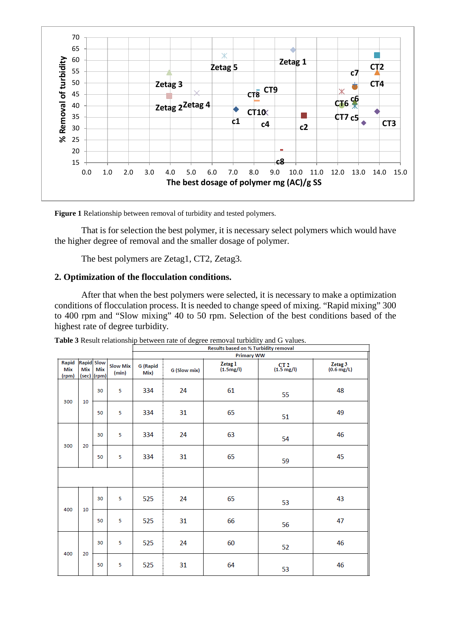

**Figure 1** Relationship between removal of turbidity and tested polymers.

That is for selection the best polymer, it is necessary select polymers which would have the higher degree of removal and the smaller dosage of polymer.

The best polymers are Zetag1, CT2, Zetag3.

#### **2. Optimization of the flocculation conditions.**

After that when the best polymers were selected, it is necessary to make a optimization conditions of flocculation process. It is needed to change speed of mixing. "Rapid mixing" 300 to 400 rpm and "Slow mixing" 40 to 50 rpm. Selection of the best conditions based of the highest rate of degree turbidity.

|                       |                          | <b>Results based on % Turbidity removal</b> |                          |                         |              |                      |                      |                         |  |  |  |  |
|-----------------------|--------------------------|---------------------------------------------|--------------------------|-------------------------|--------------|----------------------|----------------------|-------------------------|--|--|--|--|
|                       |                          |                                             |                          | <b>Primary WW</b>       |              |                      |                      |                         |  |  |  |  |
| Rapid<br>Mix<br>(rpm) | <b>Rapid Slow</b><br>Mix | Mix<br>(sec) (rpm)                          | <b>Slow Mix</b><br>(min) | <b>G</b> (Rapid<br>Mix) | G (Slow mix) | Zetag 1<br>(1.5mg/l) | $CT 2$<br>(1.5 mg/l) | $Zetag$ 3<br>(0.6 mg/L) |  |  |  |  |
|                       |                          | 30                                          | 5                        | 334                     | 24           | 61                   | 55                   | 48                      |  |  |  |  |
| 300<br>10             |                          | 50                                          | 5                        | 334                     | 31           | 65                   | 51                   | 49                      |  |  |  |  |
| 300                   |                          | 5<br>30                                     |                          | 334                     | 24           | 63                   | 54                   | 46                      |  |  |  |  |
| 20                    |                          | 50                                          | 5                        | 334                     | 31           | 65                   | 59                   | 45                      |  |  |  |  |
|                       |                          |                                             |                          |                         |              |                      |                      |                         |  |  |  |  |
| 400                   | 10                       | 30                                          | 5                        | 525                     | 24           | 65                   | 53                   | 43                      |  |  |  |  |
|                       |                          | 50                                          | 5                        | 525                     | 31           | 66                   | 56                   | 47                      |  |  |  |  |
| 400                   | 20                       | 30                                          | 5                        | 525                     | 24           | 60                   | 52                   | 46                      |  |  |  |  |
|                       |                          | 50                                          | 5                        | 525                     | 31           | 64                   | 53                   | 46                      |  |  |  |  |

**Table 3** Result relationship between rate of degree removal turbidity and G values.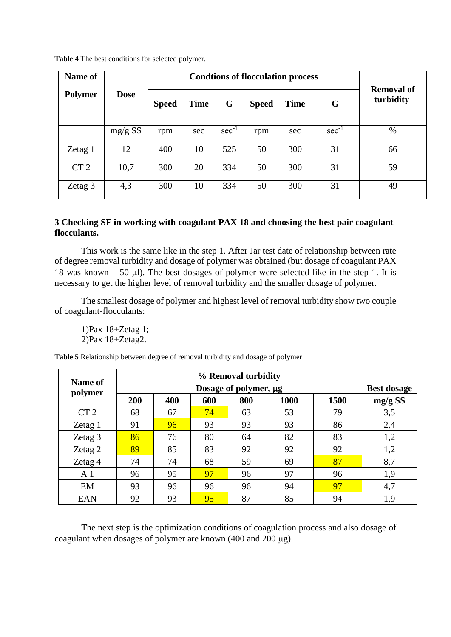| Name of         |             |              |             |            |              |             |            |                                |
|-----------------|-------------|--------------|-------------|------------|--------------|-------------|------------|--------------------------------|
| <b>Polymer</b>  | <b>Dose</b> | <b>Speed</b> | <b>Time</b> | G          | <b>Speed</b> | <b>Time</b> | G          | <b>Removal of</b><br>turbidity |
|                 | mg/g SS     | rpm          | sec         | $sec^{-1}$ | rpm          | sec         | $sec^{-1}$ | $\%$                           |
| Zetag 1         | 12          | 400          | 10          | 525        | 50           | 300         | 31         | 66                             |
| CT <sub>2</sub> | 10,7        | 300          | 20          | 334        | 50           | 300         | 31         | 59                             |
| Zetag 3         | 4,3         | 300          | 10          | 334        | 50           | 300         | 31         | 49                             |

**Table 4** The best conditions for selected polymer.

# **3 Checking SF in working with coagulant PAX 18 and choosing the best pair coagulantflocculants.**

This work is the same like in the step 1. After Jar test date of relationship between rate of degree removal turbidity and dosage of polymer was obtained (but dosage of coagulant PAX 18 was known – 50  $\mu$ . The best dosages of polymer were selected like in the step 1. It is necessary to get the higher level of removal turbidity and the smaller dosage of polymer.

The smallest dosage of polymer and highest level of removal turbidity show two couple of coagulant-flocculants:

1)Pax 18+Zetag 1; 2)Pax 18+Zetag2.

| Name of<br>polymer |     | <b>Best dosage</b> |     |     |      |      |           |
|--------------------|-----|--------------------|-----|-----|------|------|-----------|
|                    | 200 | 400                | 600 | 800 | 1000 | 1500 | $mg/g$ SS |
| CT <sub>2</sub>    | 68  | 67                 | 74  | 63  | 53   | 79   | 3,5       |
| Zetag $1$          | 91  | 96                 | 93  | 93  | 93   | 86   | 2,4       |
| Zetag 3            | 86  | 76                 | 80  | 64  | 82   | 83   | 1,2       |
| Zetag 2            | 89  | 85                 | 83  | 92  | 92   | 92   | 1,2       |
| Zetag 4            | 74  | 74                 | 68  | 59  | 69   | 87   | 8,7       |
| A <sub>1</sub>     | 96  | 95                 | 97  | 96  | 97   | 96   | 1,9       |
| EM                 | 93  | 96                 | 96  | 96  | 94   | 97   | 4,7       |
| <b>EAN</b>         | 92  | 93                 | 95  | 87  | 85   | 94   | 1,9       |

**Table 5** Relationship between degree of removal turbidity and dosage of polymer

The next step is the optimization conditions of coagulation process and also dosage of coagulant when dosages of polymer are known (400 and 200 µg).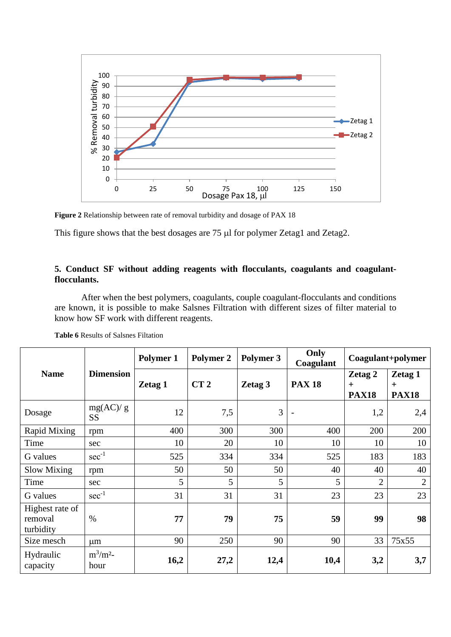



This figure shows that the best dosages are 75 µl for polymer Zetag1 and Zetag2.

# **5. Conduct SF without adding reagents with flocculants, coagulants and coagulantflocculants.**

After when the best polymers, coagulants, couple coagulant-flocculants and conditions are known, it is possible to make Salsnes Filtration with different sizes of filter material to know how SF work with different reagents.

|                                         | <b>Dimension</b>      | Polymer 1 | Polymer 2       | Polymer 3 | Only<br>Coagulant | Coagulant+polymer              |                                |
|-----------------------------------------|-----------------------|-----------|-----------------|-----------|-------------------|--------------------------------|--------------------------------|
| <b>Name</b>                             |                       | Zetag 1   | CT <sub>2</sub> | Zetag 3   | <b>PAX 18</b>     | Zetag 2<br>$+$<br><b>PAX18</b> | Zetag 1<br>$+$<br><b>PAX18</b> |
| Dosage                                  | mg(AC)/g<br><b>SS</b> | 12        | 7,5             | 3         |                   | 1,2                            | 2,4                            |
| Rapid Mixing                            | rpm                   | 400       | 300             | 300       | 400               | 200                            | 200                            |
| Time                                    | sec                   | 10        | 20              | 10        | 10                | 10                             | 10                             |
| G values                                | $sec^{-1}$            | 525       | 334             | 334       | 525               | 183                            | 183                            |
| Slow Mixing                             | rpm                   | 50        | 50              | 50        | 40                | 40                             | 40                             |
| Time                                    | sec                   | 5         | 5               | 5         | 5 <sup>5</sup>    | $\overline{2}$                 | $\overline{2}$                 |
| G values                                | $sec^{-1}$            | 31        | 31              | 31        | 23                | 23                             | 23                             |
| Highest rate of<br>removal<br>turbidity | $\%$                  | 77        | 79              | 75        | 59                | 99                             | 98                             |
| Size mesch                              | μm                    | 90        | 250             | 90        | 90                | 33                             | 75x55                          |
| Hydraulic<br>capacity                   | $m^3/m^2$ -<br>hour   | 16,2      | 27,2            | 12,4      | 10,4              | 3,2                            | 3,7                            |

**Table 6** Results of Salsnes Filtation